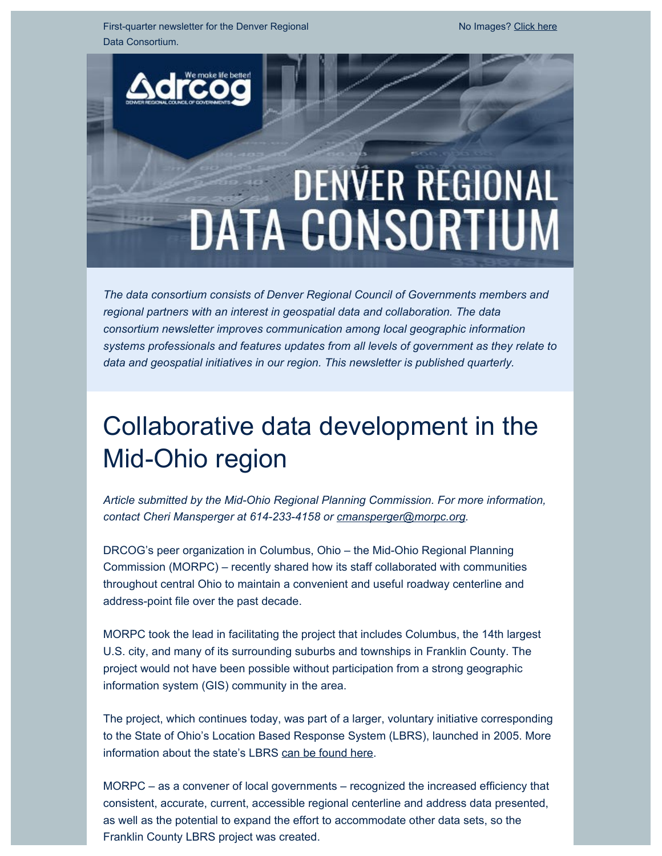First-quarter newsletter for the Denver Regional Data Consortium.

# **DENVER REGIONAL DATA CONSORTIUM**

*The data consortium consists of Denver Regional Council of Governments members and regional partners with an interest in geospatial data and collaboration. The data consortium newsletter improves communication among local geographic information systems professionals and features updates from all levels of government as they relate to data and geospatial initiatives in our region. This newsletter is published quarterly.*

# Collaborative data development in the Mid-Ohio region

*Article submitted by the Mid-Ohio Regional Planning Commission. For more information, contact Cheri Mansperger at 614-233-4158 or [cmansperger@morpc.org](mailto:cmansperger@morpc.org).*

DRCOG's peer organization in Columbus, Ohio – the Mid-Ohio Regional Planning Commission (MORPC) – recently shared how its staff collaborated with communities throughout central Ohio to maintain a convenient and useful roadway centerline and address-point file over the past decade.

MORPC took the lead in facilitating the project that includes Columbus, the 14th largest U.S. city, and many of its surrounding suburbs and townships in Franklin County. The project would not have been possible without participation from a strong geographic information system (GIS) community in the area.

The project, which continues today, was part of a larger, voluntary initiative corresponding to the State of Ohio's Location Based Response System (LBRS), launched in 2005. More information about the state's LBRS [can be found here](https://drcog.createsend1.com/t/d-l-nhyvtk-l-y/).

MORPC – as a convener of local governments – recognized the increased efficiency that consistent, accurate, current, accessible regional centerline and address data presented, as well as the potential to expand the effort to accommodate other data sets, so the Franklin County LBRS project was created.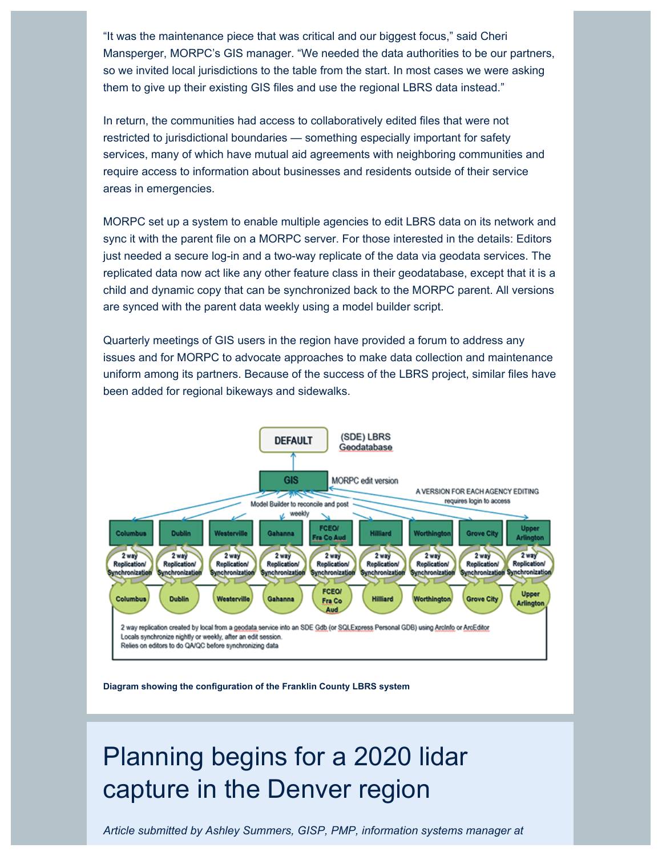"It was the maintenance piece that was critical and our biggest focus," said Cheri Mansperger, MORPC's GIS manager. "We needed the data authorities to be our partners, so we invited local jurisdictions to the table from the start. In most cases we were asking them to give up their existing GIS files and use the regional LBRS data instead."

In return, the communities had access to collaboratively edited files that were not restricted to jurisdictional boundaries — something especially important for safety services, many of which have mutual aid agreements with neighboring communities and require access to information about businesses and residents outside of their service areas in emergencies.

MORPC set up a system to enable multiple agencies to edit LBRS data on its network and sync it with the parent file on a MORPC server. For those interested in the details: Editors just needed a secure log-in and a two-way replicate of the data via geodata services. The replicated data now act like any other feature class in their geodatabase, except that it is a child and dynamic copy that can be synchronized back to the MORPC parent. All versions are synced with the parent data weekly using a model builder script.

Quarterly meetings of GIS users in the region have provided a forum to address any issues and for MORPC to advocate approaches to make data collection and maintenance uniform among its partners. Because of the success of the LBRS project, similar files have been added for regional bikeways and sidewalks.



**Diagram showing the configuration of the Franklin County LBRS system**

## Planning begins for a 2020 lidar capture in the Denver region

*Article submitted by Ashley Summers, GISP, PMP, information systems manager at*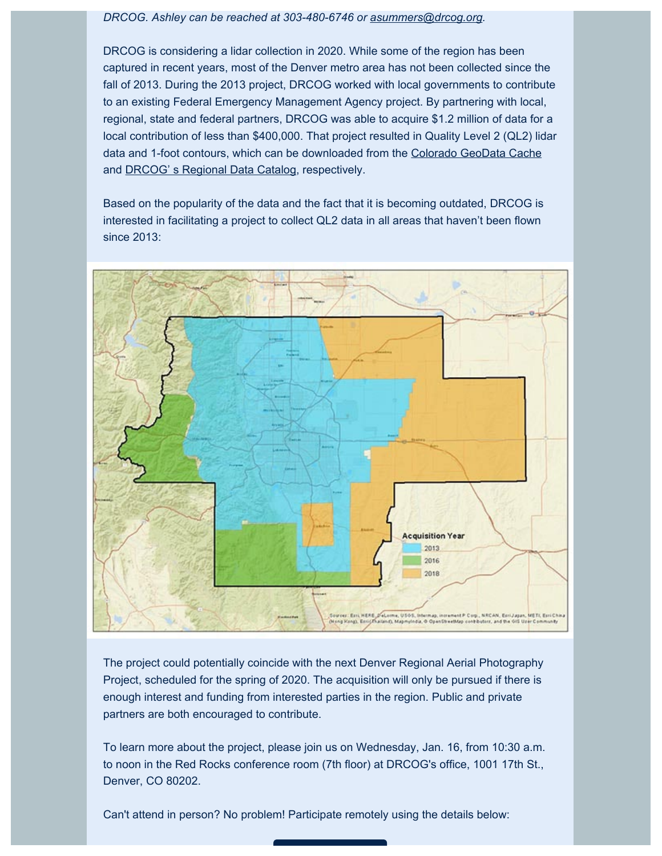#### *DRCOG. Ashley can be reached at 303-480-6746 or [asummers@drcog.org](mailto:asummers@drcog.org).*

DRCOG is considering a lidar collection in 2020. While some of the region has been captured in recent years, most of the Denver metro area has not been collected since the fall of 2013. During the 2013 project, DRCOG worked with local governments to contribute to an existing Federal Emergency Management Agency project. By partnering with local, regional, state and federal partners, DRCOG was able to acquire \$1.2 million of data for a local contribution of less than \$400,000. That project resulted in Quality Level 2 (QL2) lidar data and 1-foot contours, which can be downloaded from the [Colorado GeoData Cache](https://drcog.createsend1.com/t/d-l-nhyvtk-l-j/) and **DRCOG's Regional Data Catalog**, respectively.

Based on the popularity of the data and the fact that it is becoming outdated, DRCOG is interested in facilitating a project to collect QL2 data in all areas that haven't been flown since 2013:



The project could potentially coincide with the next Denver Regional Aerial Photography Project, scheduled for the spring of 2020. The acquisition will only be pursued if there is enough interest and funding from interested parties in the region. Public and private partners are both encouraged to contribute.

To learn more about the project, please join us on Wednesday, Jan. 16, from 10:30 a.m. to noon in the Red Rocks conference room (7th floor) at DRCOG's office, 1001 17th St., Denver, CO 80202.

Can't attend in person? No problem! Participate remotely using the details below: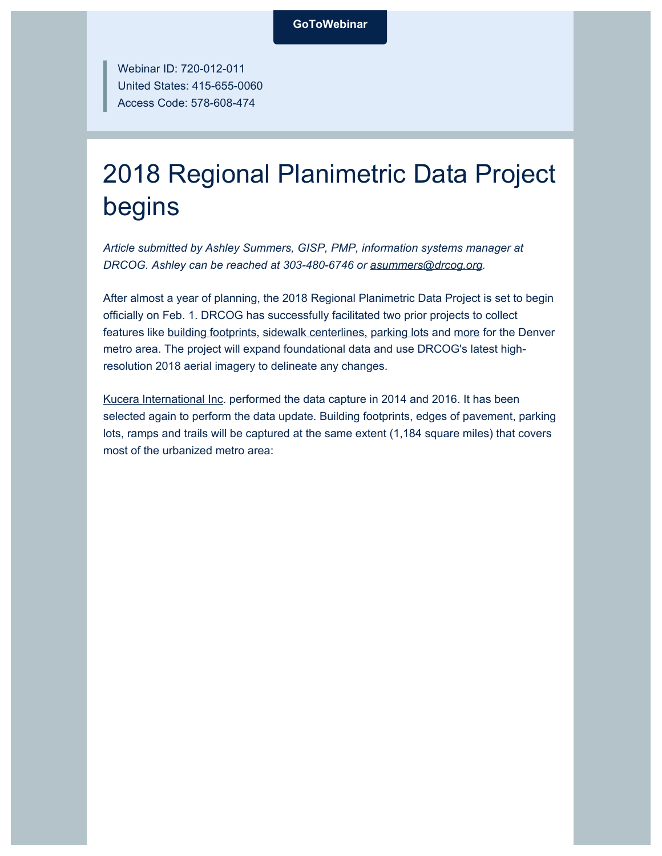Webinar ID: 720-012-011 United States: 415-655-0060 Access Code: 578-608-474

# 2018 Regional Planimetric Data Project begins

*Article submitted by Ashley Summers, GISP, PMP, information systems manager at DRCOG. Ashley can be reached at 303-480-6746 or [asummers@drcog.org](mailto:asummers@drcog.org).*

After almost a year of planning, the 2018 Regional Planimetric Data Project is set to begin officially on Feb. 1. DRCOG has successfully facilitated two prior projects to collect features like [building footprints](https://drcog.createsend1.com/t/d-l-nhyvtk-l-d/), [sidewalk centerlines,](https://drcog.createsend1.com/t/d-l-nhyvtk-l-h/) [parking lots](https://drcog.createsend1.com/t/d-l-nhyvtk-l-k/) and [more](https://drcog.createsend1.com/t/d-l-nhyvtk-l-u/) for the Denver metro area. The project will expand foundational data and use DRCOG's latest highresolution 2018 aerial imagery to delineate any changes.

[Kucera International Inc](https://drcog.createsend1.com/t/d-l-nhyvtk-l-o/). performed the data capture in 2014 and 2016. It has been selected again to perform the data update. Building footprints, edges of pavement, parking lots, ramps and trails will be captured at the same extent (1,184 square miles) that covers most of the urbanized metro area: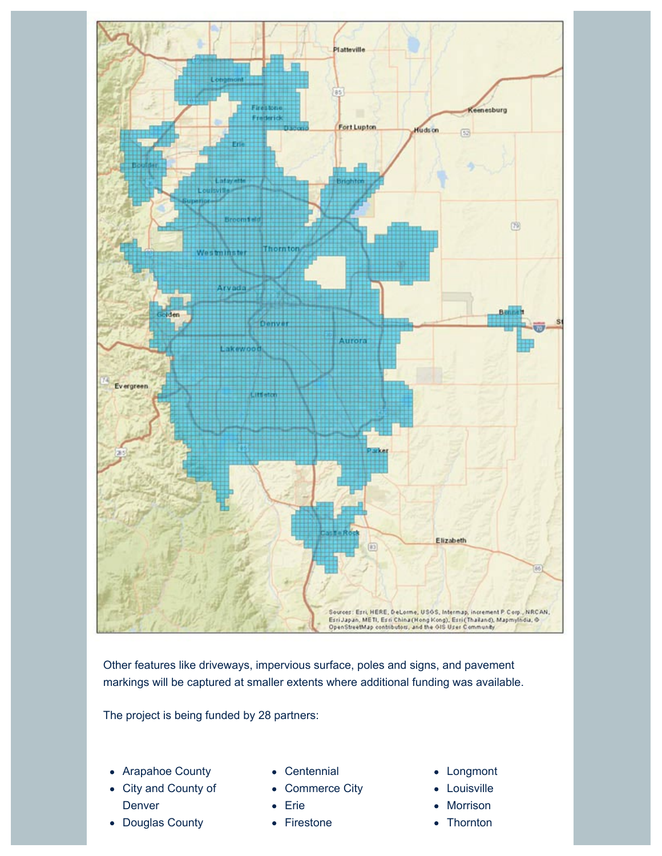

Other features like driveways, impervious surface, poles and signs, and pavement markings will be captured at smaller extents where additional funding was available.

The project is being funded by 28 partners:

- Arapahoe County
- City and County of Denver
- Douglas County
- Centennial
- Commerce City
- Erie
- Firestone
- Longmont
- Louisville
- Morrison
- Thornton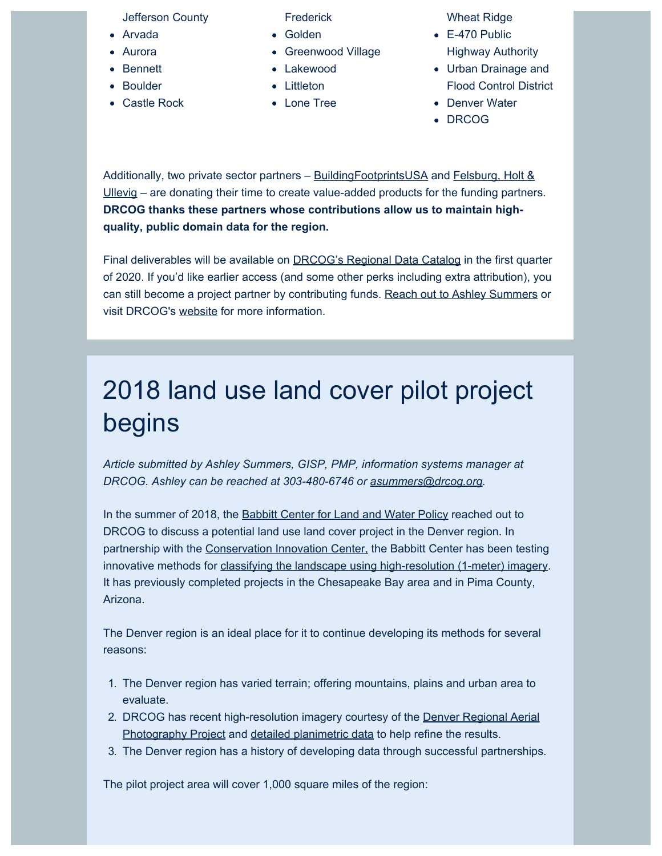Jefferson County

- Arvada
- Aurora
- Bennett
- Boulder
- Castle Rock

Frederick

- Golden
- Greenwood Village
- Lakewood
- Littleton
- Lone Tree

Wheat Ridge

- E-470 Public
- Highway Authority
- Urban Drainage and Flood Control District
- Denver Water
- DRCOG

Additionally, two private sector partners – [BuildingFootprintsUSA](https://drcog.createsend1.com/t/d-l-nhyvtk-l-m/) and [Felsburg, Holt &](https://drcog.createsend1.com/t/d-l-nhyvtk-l-c/) [Ullevig](https://drcog.createsend1.com/t/d-l-nhyvtk-l-c/) – are donating their time to create value-added products for the funding partners. **DRCOG thanks these partners whose contributions allow us to maintain highquality, public domain data for the region.**

Final deliverables will be available on **DRCOG's Regional Data Catalog** in the first quarter of 2020. If you'd like earlier access (and some other perks including extra attribution), you can still become a project partner by contributing funds. [Reach out to Ashley Summers](mailto:asummers@drcog.org) or visit DRCOG's [website](https://drcog.createsend1.com/t/d-l-nhyvtk-l-a/) for more information.

# 2018 land use land cover pilot project begins

*Article submitted by Ashley Summers, GISP, PMP, information systems manager at DRCOG. Ashley can be reached at 303-480-6746 or [asummers@drcog.org](mailto:asummers@drcog.org).*

In the summer of 2018, the [Babbitt Center for Land and Water Policy](https://drcog.createsend1.com/t/d-l-nhyvtk-l-z/) reached out to DRCOG to discuss a potential land use land cover project in the Denver region. In partnership with the [Conservation Innovation Center,](https://drcog.createsend1.com/t/d-l-nhyvtk-l-v/) the Babbitt Center has been testing innovative methods for [classifying the landscape using high-resolution \(1-meter\) imagery](https://drcog.createsend1.com/t/d-l-nhyvtk-l-e/). It has previously completed projects in the Chesapeake Bay area and in Pima County, Arizona.

The Denver region is an ideal place for it to continue developing its methods for several reasons:

- 1. The Denver region has varied terrain; offering mountains, plains and urban area to evaluate.
- 2. DRCOG has recent high-resolution imagery courtesy of the [Denver Regional Aerial](https://drcog.createsend1.com/t/d-l-nhyvtk-l-s/) [Photography Project](https://drcog.createsend1.com/t/d-l-nhyvtk-l-s/) and [detailed planimetric data](https://drcog.createsend1.com/t/d-l-nhyvtk-l-g/) to help refine the results.
- 3. The Denver region has a history of developing data through successful partnerships.

The pilot project area will cover 1,000 square miles of the region: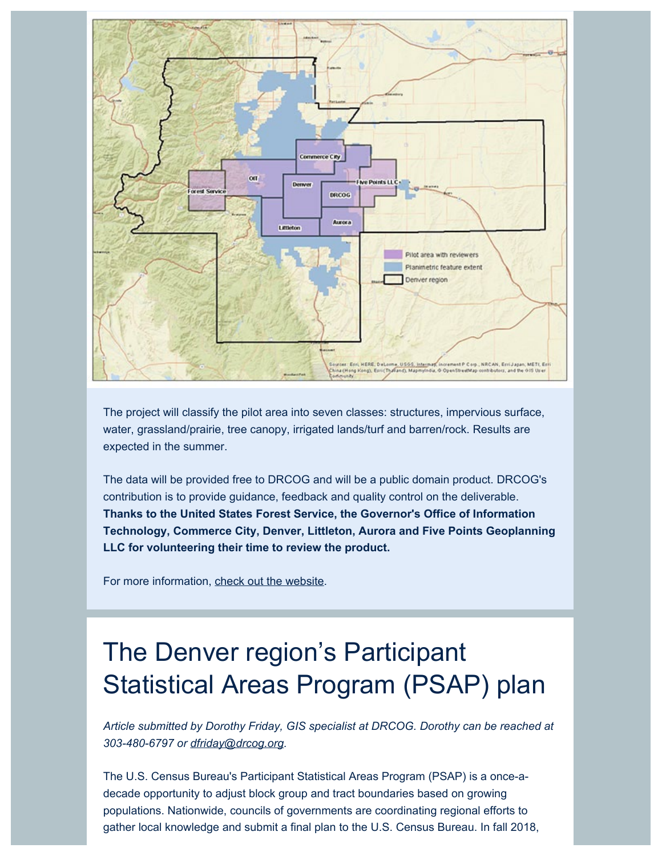

The project will classify the pilot area into seven classes: structures, impervious surface, water, grassland/prairie, tree canopy, irrigated lands/turf and barren/rock. Results are expected in the summer.

The data will be provided free to DRCOG and will be a public domain product. DRCOG's contribution is to provide guidance, feedback and quality control on the deliverable. **Thanks to the United States Forest Service, the Governor's Office of Information Technology, Commerce City, Denver, Littleton, Aurora and Five Points Geoplanning LLC for volunteering their time to review the product.**

For more information, [check out the website](https://drcog.createsend1.com/t/d-l-nhyvtk-l-w/).

# The Denver region's Participant Statistical Areas Program (PSAP) plan

*Article submitted by Dorothy Friday, GIS specialist at DRCOG. Dorothy can be reached at 303-480-6797 or [dfriday@drcog.org](mailto:dfriday@drcog.org).*

The U.S. Census Bureau's Participant Statistical Areas Program (PSAP) is a once-adecade opportunity to adjust block group and tract boundaries based on growing populations. Nationwide, councils of governments are coordinating regional efforts to gather local knowledge and submit a final plan to the U.S. Census Bureau. In fall 2018,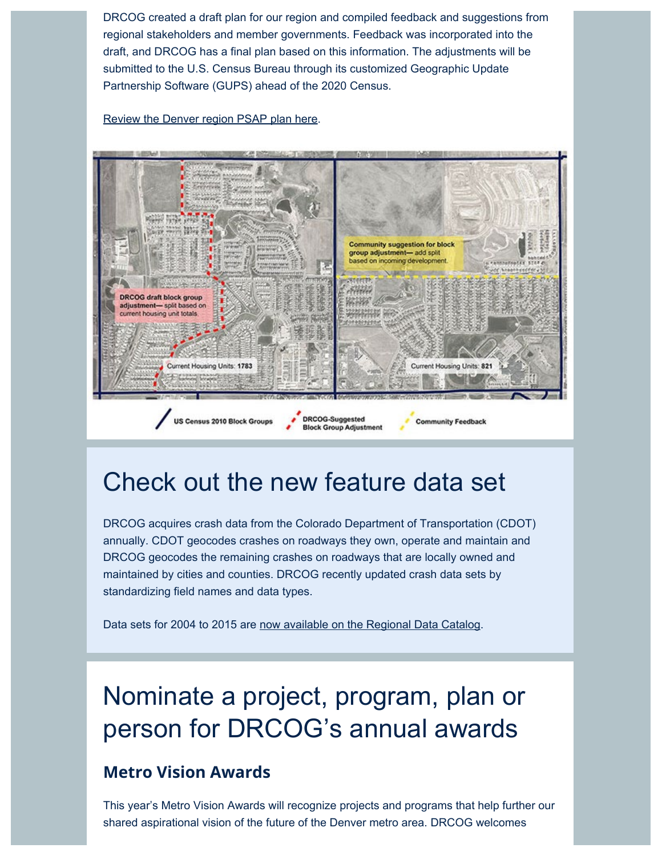DRCOG created a draft plan for our region and compiled feedback and suggestions from regional stakeholders and member governments. Feedback was incorporated into the draft, and DRCOG has a final plan based on this information. The adjustments will be submitted to the U.S. Census Bureau through its customized Geographic Update Partnership Software (GUPS) ahead of the 2020 Census.

[Review the Denver region PSAP plan here.](https://drcog.createsend1.com/t/d-l-nhyvtk-l-yd/)



## Check out the new feature data set

DRCOG acquires crash data from the Colorado Department of Transportation (CDOT) annually. CDOT geocodes crashes on roadways they own, operate and maintain and DRCOG geocodes the remaining crashes on roadways that are locally owned and maintained by cities and counties. DRCOG recently updated crash data sets by standardizing field names and data types.

Data sets for 2004 to 2015 are [now available on the Regional Data Catalog](https://drcog.createsend1.com/t/d-l-nhyvtk-l-yh/).

# Nominate a project, program, plan or person for DRCOG's annual awards

#### **Metro Vision Awards**

This year's Metro Vision Awards will recognize projects and programs that help further our shared aspirational vision of the future of the Denver metro area. DRCOG welcomes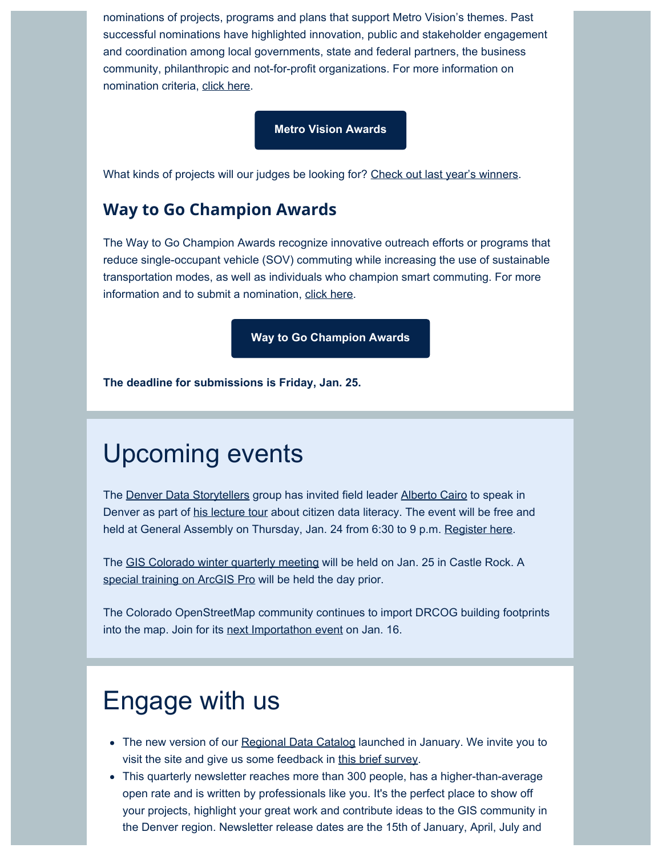nominations of projects, programs and plans that support Metro Vision's themes. Past successful nominations have highlighted innovation, public and stakeholder engagement and coordination among local governments, state and federal partners, the business community, philanthropic and not-for-profit organizations. For more information on nomination criteria, [click here](https://drcog.createsend1.com/t/d-l-nhyvtk-l-yk/).

**[Metro Vision Awards](https://drcog.createsend1.com/t/d-l-nhyvtk-l-yu/)**

What kinds of projects will our judges be looking for? [Check out last year's winners](https://drcog.createsend1.com/t/d-l-nhyvtk-l-jl/).

#### **Way to Go Champion Awards**

The Way to Go Champion Awards recognize innovative outreach efforts or programs that reduce single-occupant vehicle (SOV) commuting while increasing the use of sustainable transportation modes, as well as individuals who champion smart commuting. For more information and to submit a nomination, [click here](https://drcog.createsend1.com/t/d-l-nhyvtk-l-jr/).

**[Way to Go Champion Awards](https://drcog.createsend1.com/t/d-l-nhyvtk-l-jy/)**

**The deadline for submissions is Friday, Jan. 25.**

### Upcoming events

The [Denver Data Storytellers](https://drcog.createsend1.com/t/d-l-nhyvtk-l-jj/) group has invited field leader [Alberto Cairo](https://drcog.createsend1.com/t/d-l-nhyvtk-l-jt/) to speak in Denver as part of [his lecture tour](https://drcog.createsend1.com/t/d-l-nhyvtk-l-ji/) about citizen data literacy. The event will be free and held at General Assembly on Thursday, Jan. 24 from 6:30 to 9 p.m. [Register here](https://drcog.createsend1.com/t/d-l-nhyvtk-l-jd/).

The [GIS Colorado winter quarterly meeting](https://drcog.createsend1.com/t/d-l-nhyvtk-l-jh/) will be held on Jan. 25 in Castle Rock. A [special training on ArcGIS Pro](https://drcog.createsend1.com/t/d-l-nhyvtk-l-jk/) will be held the day prior.

The Colorado OpenStreetMap community continues to import DRCOG building footprints into the map. Join for its [next Importathon event](https://drcog.createsend1.com/t/d-l-nhyvtk-l-ju/) on Jan. 16.

## Engage with us

- The new version of our [Regional Data Catalog](https://drcog.createsend1.com/t/d-l-nhyvtk-l-tl/) launched in January. We invite you to visit the site and give us some feedback in [this brief survey.](https://drcog.createsend1.com/t/d-l-nhyvtk-l-tr/)
- This quarterly newsletter reaches more than 300 people, has a higher-than-average open rate and is written by professionals like you. It's the perfect place to show off your projects, highlight your great work and contribute ideas to the GIS community in the Denver region. Newsletter release dates are the 15th of January, April, July and